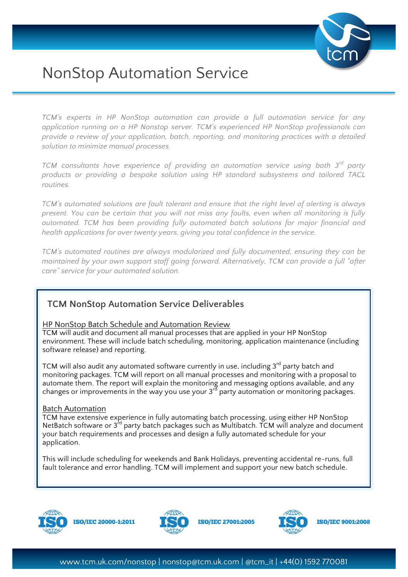

# NonStop Automation Service

*TCM's experts in HP NonStop automation can provide a full automation service for any application running on a HP Nonstop server. TCM's experienced HP NonStop professionals can provide a review of your application, batch, reporting, and monitoring practices with a detailed solution to minimize manual processes.* 

*TCM consultants have experience of providing an automation service using both 3rd party products or providing a bespoke solution using HP standard subsystems and tailored TACL routines.*

*TCM's automated solutions are fault tolerant and ensure that the right level of alerting is always present. You can be certain that you will not miss any faults, even when all monitoring is fully automated. TCM has been providing fully automated batch solutions for major financial and health applications for over twenty years, giving you total confidence in the service.*

*TCM's automated routines are always modularized and fully documented, ensuring they can be maintained by your own support staff going forward. Alternatively, TCM can provide a full "after care" service for your automated solution.*

## **TCM NonStop Automation Service Deliverables**

#### HP NonStop Batch Schedule and Automation Review

TCM will audit and document all manual processes that are applied in your HP NonStop environment. These will include batch scheduling, monitoring, application maintenance (including software release) and reporting.

TCM will also audit any automated software currently in use, including  $3^{rd}$  party batch and monitoring packages. TCM will report on all manual processes and monitoring with a proposal to automate them. The report will explain the monitoring and messaging options available, and any changes or improvements in the way you use your  $3^{rd}$  party automation or monitoring packages.

#### Batch Automation

TCM have extensive experience in fully automating batch processing, using either HP NonStop NetBatch software or 3<sup>rd</sup> party batch packages such as Multibatch. TCM will analyze and document your batch requirements and processes and design a fully automated schedule for your application.

This will include scheduling for weekends and Bank Holidays, preventing accidental re-runs, full fault tolerance and error handling. TCM will implement and support your new batch schedule.



**ISO/IEC 20000-1:2011** 



**ISO/IEC 27001:2005**